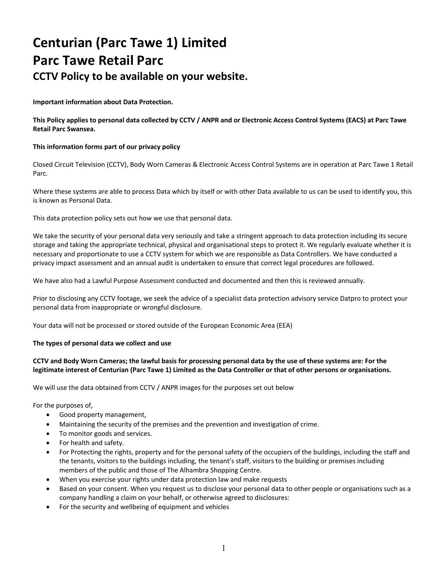# **Centurian (Parc Tawe 1) Limited Parc Tawe Retail Parc CCTV Policy to be available on your website.**

**Important information about Data Protection.**

**This Policy applies to personal data collected by CCTV / ANPR and or Electronic Access Control Systems (EACS) at Parc Tawe Retail Parc Swansea.**

# **This information forms part of our privacy policy**

Closed Circuit Television (CCTV), Body Worn Cameras & Electronic Access Control Systems are in operation at Parc Tawe 1 Retail Parc.

Where these systems are able to process Data which by itself or with other Data available to us can be used to identify you, this is known as Personal Data.

This data protection policy sets out how we use that personal data.

We take the security of your personal data very seriously and take a stringent approach to data protection including its secure storage and taking the appropriate technical, physical and organisational steps to protect it. We regularly evaluate whether it is necessary and proportionate to use a CCTV system for which we are responsible as Data Controllers. We have conducted a privacy impact assessment and an annual audit is undertaken to ensure that correct legal procedures are followed.

We have also had a Lawful Purpose Assessment conducted and documented and then this is reviewed annually.

Prior to disclosing any CCTV footage, we seek the advice of a specialist data protection advisory service Datpro to protect your personal data from inappropriate or wrongful disclosure.

Your data will not be processed or stored outside of the European Economic Area (EEA)

## **The types of personal data we collect and use**

# **CCTV and Body Worn Cameras; the lawful basis for processing personal data by the use of these systems are: For the legitimate interest of Centurian (Parc Tawe 1) Limited as the Data Controller or that of other persons or organisations.**

We will use the data obtained from CCTV / ANPR images for the purposes set out below

For the purposes of,

- Good property management,
- Maintaining the security of the premises and the prevention and investigation of crime.
- To monitor goods and services.
- For health and safety.
- For Protecting the rights, property and for the personal safety of the occupiers of the buildings, including the staff and the tenants, visitors to the buildings including, the tenant's staff, visitors to the building or premises including members of the public and those of The Alhambra Shopping Centre.
- When you exercise your rights under data protection law and make requests
- Based on your consent. When you request us to disclose your personal data to other people or organisations such as a company handling a claim on your behalf, or otherwise agreed to disclosures:
- For the security and wellbeing of equipment and vehicles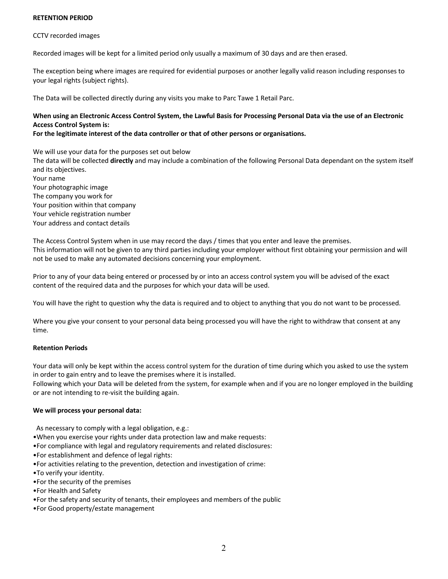## **RETENTION PERIOD**

#### CCTV recorded images

Recorded images will be kept for a limited period only usually a maximum of 30 days and are then erased.

The exception being where images are required for evidential purposes or another legally valid reason including responses to your legal rights (subject rights).

The Data will be collected directly during any visits you make to Parc Tawe 1 Retail Parc.

# **When using an Electronic Access Control System, the Lawful Basis for Processing Personal Data via the use of an Electronic Access Control System is:**

### **For the legitimate interest of the data controller or that of other persons or organisations.**

We will use your data for the purposes set out below

The data will be collected **directly** and may include a combination of the following Personal Data dependant on the system itself and its objectives. Your name

Your photographic image The company you work for Your position within that company Your vehicle registration number Your address and contact details

The Access Control System when in use may record the days / times that you enter and leave the premises. This information will not be given to any third parties including your employer without first obtaining your permission and will not be used to make any automated decisions concerning your employment.

Prior to any of your data being entered or processed by or into an access control system you will be advised of the exact content of the required data and the purposes for which your data will be used.

You will have the right to question why the data is required and to object to anything that you do not want to be processed.

Where you give your consent to your personal data being processed you will have the right to withdraw that consent at any time.

## **Retention Periods**

Your data will only be kept within the access control system for the duration of time during which you asked to use the system in order to gain entry and to leave the premises where it is installed.

Following which your Data will be deleted from the system, for example when and if you are no longer employed in the building or are not intending to re-visit the building again.

## **We will process your personal data:**

As necessary to comply with a legal obligation, e.g.:

- •When you exercise your rights under data protection law and make requests:
- •For compliance with legal and regulatory requirements and related disclosures:
- •For establishment and defence of legal rights:
- •For activities relating to the prevention, detection and investigation of crime:
- •To verify your identity.
- •For the security of the premises
- •For Health and Safety
- •For the safety and security of tenants, their employees and members of the public
- •For Good property/estate management